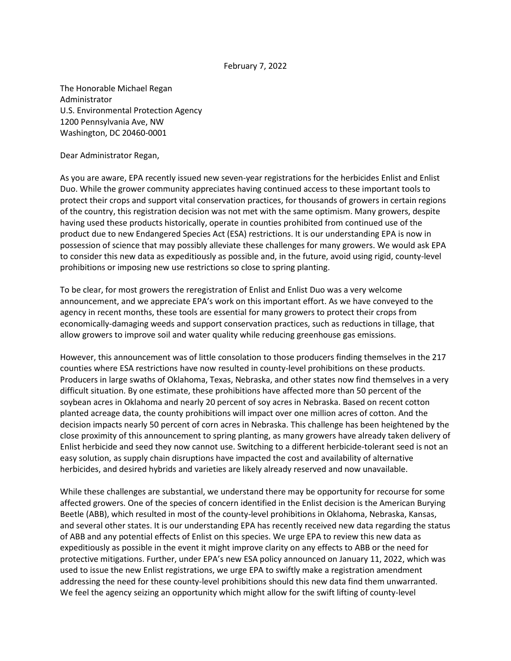## February 7, 2022

The Honorable Michael Regan Administrator U.S. Environmental Protection Agency 1200 Pennsylvania Ave, NW Washington, DC 20460-0001

Dear Administrator Regan,

As you are aware, EPA recently issued new seven-year registrations for the herbicides Enlist and Enlist Duo. While the grower community appreciates having continued access to these important tools to protect their crops and support vital conservation practices, for thousands of growers in certain regions of the country, this registration decision was not met with the same optimism. Many growers, despite having used these products historically, operate in counties prohibited from continued use of the product due to new Endangered Species Act (ESA) restrictions. It is our understanding EPA is now in possession of science that may possibly alleviate these challenges for many growers. We would ask EPA to consider this new data as expeditiously as possible and, in the future, avoid using rigid, county-level prohibitions or imposing new use restrictions so close to spring planting.

To be clear, for most growers the reregistration of Enlist and Enlist Duo was a very welcome announcement, and we appreciate EPA's work on this important effort. As we have conveyed to the agency in recent months, these tools are essential for many growers to protect their crops from economically-damaging weeds and support conservation practices, such as reductions in tillage, that allow growers to improve soil and water quality while reducing greenhouse gas emissions.

However, this announcement was of little consolation to those producers finding themselves in the 217 counties where ESA restrictions have now resulted in county-level prohibitions on these products. Producers in large swaths of Oklahoma, Texas, Nebraska, and other states now find themselves in a very difficult situation. By one estimate, these prohibitions have affected more than 50 percent of the soybean acres in Oklahoma and nearly 20 percent of soy acres in Nebraska. Based on recent cotton planted acreage data, the county prohibitions will impact over one million acres of cotton. And the decision impacts nearly 50 percent of corn acres in Nebraska. This challenge has been heightened by the close proximity of this announcement to spring planting, as many growers have already taken delivery of Enlist herbicide and seed they now cannot use. Switching to a different herbicide-tolerant seed is not an easy solution, as supply chain disruptions have impacted the cost and availability of alternative herbicides, and desired hybrids and varieties are likely already reserved and now unavailable.

While these challenges are substantial, we understand there may be opportunity for recourse for some affected growers. One of the species of concern identified in the Enlist decision is the American Burying Beetle (ABB), which resulted in most of the county-level prohibitions in Oklahoma, Nebraska, Kansas, and several other states. It is our understanding EPA has recently received new data regarding the status of ABB and any potential effects of Enlist on this species. We urge EPA to review this new data as expeditiously as possible in the event it might improve clarity on any effects to ABB or the need for protective mitigations. Further, under EPA's new ESA policy announced on January 11, 2022, which was used to issue the new Enlist registrations, we urge EPA to swiftly make a registration amendment addressing the need for these county-level prohibitions should this new data find them unwarranted. We feel the agency seizing an opportunity which might allow for the swift lifting of county-level